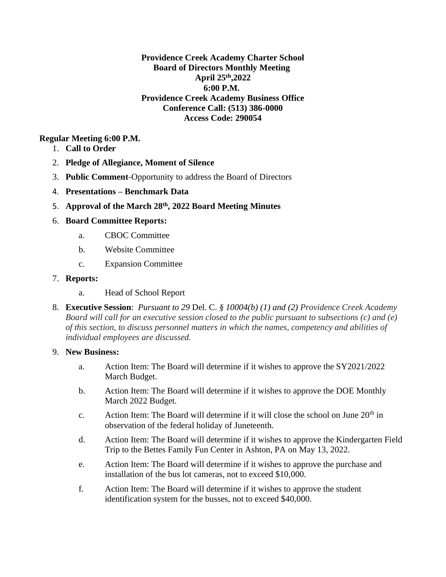# **Providence Creek Academy Charter School Board of Directors Monthly Meeting April 25th,2022 6:00 P.M. Providence Creek Academy Business Office Conference Call: (513) 386-0000 Access Code: 290054**

# **Regular Meeting 6:00 P.M.**

- 1. **Call to Order**
- 2. **Pledge of Allegiance, Moment of Silence**
- 3. **Public Comment**-Opportunity to address the Board of Directors
- 4. **Presentations – Benchmark Data**
- 5. **Approval of the March 28th, 2022 Board Meeting Minutes**
- 6. **Board Committee Reports:**
	- a. CBOC Committee
	- b. Website Committee
	- c. Expansion Committee
- 7. **Reports:**
	- a. Head of School Report
- 8. **Executive Session**: *Pursuant to 29* Del. C. *§ 10004(b) (1) and (2) Providence Creek Academy Board will call for an executive session closed to the public pursuant to subsections (c) and (e) of this section, to discuss personnel matters in which the names, competency and abilities of individual employees are discussed.*

# 9. **New Business:**

- a. Action Item: The Board will determine if it wishes to approve the SY2021/2022 March Budget.
- b. Action Item: The Board will determine if it wishes to approve the DOE Monthly March 2022 Budget.
- c. Action Item: The Board will determine if it will close the school on June  $20<sup>th</sup>$  in observation of the federal holiday of Juneteenth.
- d. Action Item: The Board will determine if it wishes to approve the Kindergarten Field Trip to the Bettes Family Fun Center in Ashton, PA on May 13, 2022.
- e. Action Item: The Board will determine if it wishes to approve the purchase and installation of the bus lot cameras, not to exceed \$10,000.
- f. Action Item: The Board will determine if it wishes to approve the student identification system for the busses, not to exceed \$40,000.